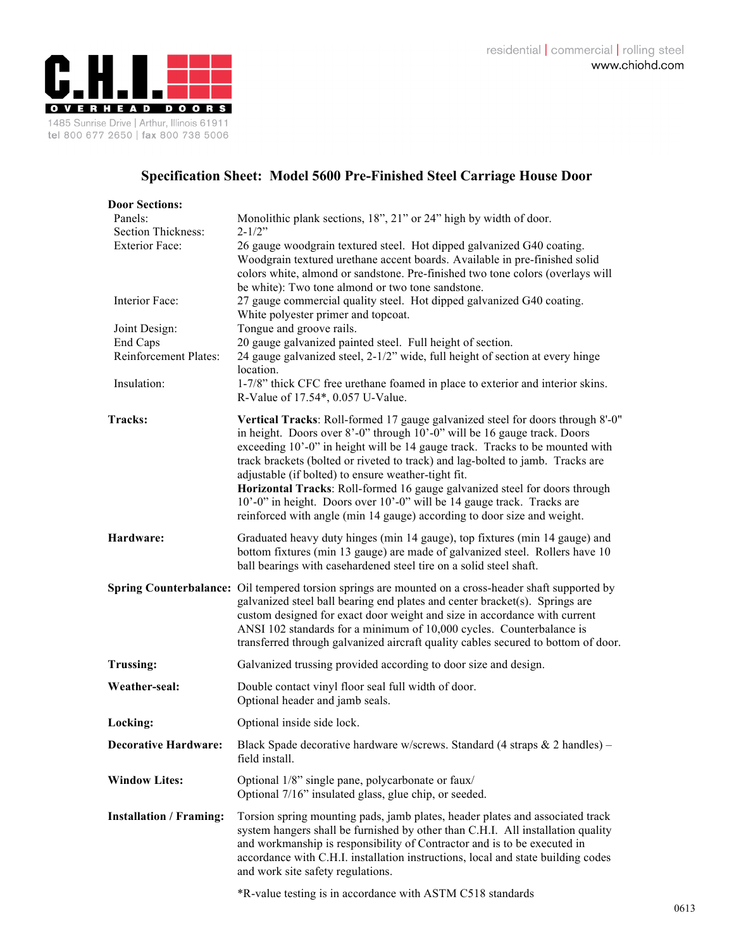

## **Specification Sheet: Model 5600 Pre-Finished Steel Carriage House Door**

| <b>Door Sections:</b>                                  |                                                                                                                                                                                                                                                                                                                                                                                                                                                                                                                                                                                                                        |
|--------------------------------------------------------|------------------------------------------------------------------------------------------------------------------------------------------------------------------------------------------------------------------------------------------------------------------------------------------------------------------------------------------------------------------------------------------------------------------------------------------------------------------------------------------------------------------------------------------------------------------------------------------------------------------------|
| Panels:<br>Section Thickness:<br><b>Exterior Face:</b> | Monolithic plank sections, 18", 21" or 24" high by width of door.<br>$2 - 1/2$ "<br>26 gauge woodgrain textured steel. Hot dipped galvanized G40 coating.<br>Woodgrain textured urethane accent boards. Available in pre-finished solid<br>colors white, almond or sandstone. Pre-finished two tone colors (overlays will<br>be white): Two tone almond or two tone sandstone.                                                                                                                                                                                                                                         |
| Interior Face:                                         | 27 gauge commercial quality steel. Hot dipped galvanized G40 coating.<br>White polyester primer and topcoat.                                                                                                                                                                                                                                                                                                                                                                                                                                                                                                           |
| Joint Design:<br>End Caps<br>Reinforcement Plates:     | Tongue and groove rails.<br>20 gauge galvanized painted steel. Full height of section.<br>24 gauge galvanized steel, 2-1/2" wide, full height of section at every hinge<br>location.                                                                                                                                                                                                                                                                                                                                                                                                                                   |
| Insulation:                                            | 1-7/8" thick CFC free urethane foamed in place to exterior and interior skins.<br>R-Value of 17.54*, 0.057 U-Value.                                                                                                                                                                                                                                                                                                                                                                                                                                                                                                    |
| Tracks:                                                | Vertical Tracks: Roll-formed 17 gauge galvanized steel for doors through 8'-0"<br>in height. Doors over 8'-0" through 10'-0" will be 16 gauge track. Doors<br>exceeding 10'-0" in height will be 14 gauge track. Tracks to be mounted with<br>track brackets (bolted or riveted to track) and lag-bolted to jamb. Tracks are<br>adjustable (if bolted) to ensure weather-tight fit.<br>Horizontal Tracks: Roll-formed 16 gauge galvanized steel for doors through<br>10'-0" in height. Doors over 10'-0" will be 14 gauge track. Tracks are<br>reinforced with angle (min 14 gauge) according to door size and weight. |
| Hardware:                                              | Graduated heavy duty hinges (min 14 gauge), top fixtures (min 14 gauge) and<br>bottom fixtures (min 13 gauge) are made of galvanized steel. Rollers have 10<br>ball bearings with casehardened steel tire on a solid steel shaft.                                                                                                                                                                                                                                                                                                                                                                                      |
|                                                        | Spring Counterbalance: Oil tempered torsion springs are mounted on a cross-header shaft supported by<br>galvanized steel ball bearing end plates and center bracket(s). Springs are<br>custom designed for exact door weight and size in accordance with current<br>ANSI 102 standards for a minimum of 10,000 cycles. Counterbalance is<br>transferred through galvanized aircraft quality cables secured to bottom of door.                                                                                                                                                                                          |
| <b>Trussing:</b>                                       | Galvanized trussing provided according to door size and design.                                                                                                                                                                                                                                                                                                                                                                                                                                                                                                                                                        |
| Weather-seal:                                          | Double contact vinyl floor seal full width of door.<br>Optional header and jamb seals.                                                                                                                                                                                                                                                                                                                                                                                                                                                                                                                                 |
| Locking:                                               | Optional inside side lock.                                                                                                                                                                                                                                                                                                                                                                                                                                                                                                                                                                                             |
| <b>Decorative Hardware:</b>                            | Black Spade decorative hardware w/screws. Standard (4 straps & 2 handles) -<br>field install.                                                                                                                                                                                                                                                                                                                                                                                                                                                                                                                          |
| <b>Window Lites:</b>                                   | Optional 1/8" single pane, polycarbonate or faux/<br>Optional 7/16" insulated glass, glue chip, or seeded.                                                                                                                                                                                                                                                                                                                                                                                                                                                                                                             |
| <b>Installation / Framing:</b>                         | Torsion spring mounting pads, jamb plates, header plates and associated track<br>system hangers shall be furnished by other than C.H.I. All installation quality<br>and workmanship is responsibility of Contractor and is to be executed in<br>accordance with C.H.I. installation instructions, local and state building codes<br>and work site safety regulations.                                                                                                                                                                                                                                                  |
|                                                        | *R-value testing is in accordance with ASTM C518 standards                                                                                                                                                                                                                                                                                                                                                                                                                                                                                                                                                             |